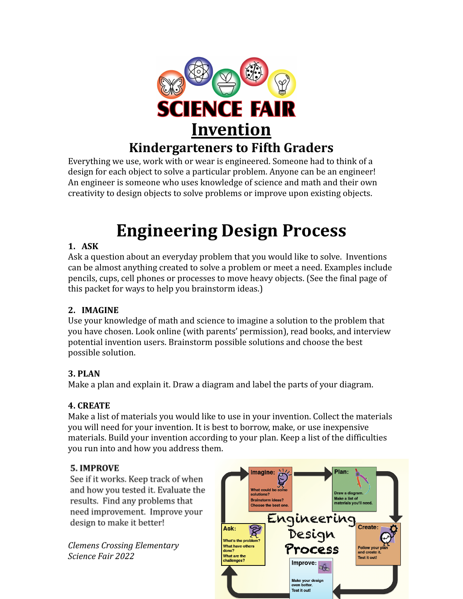

## **Kindergarteners to Fifth Graders** Everything we use, work with or wear is engineered. Someone had to think of a

design for each object to solve a particular problem. Anyone can be an engineer! An engineer is someone who uses knowledge of science and math and their own creativity to design objects to solve problems or improve upon existing objects.

# **Engineering Design Process**

## **1. ASK**

Ask a question about an everyday problem that you would like to solve. Inventions can be almost anything created to solve a problem or meet a need. Examples include pencils, cups, cell phones or processes to move heavy objects. (See the final page of this packet for ways to help you brainstorm ideas.)

## **2. IMAGINE**

Use your knowledge of math and science to imagine a solution to the problem that you have chosen. Look online (with parents' permission), read books, and interview potential invention users. Brainstorm possible solutions and choose the best possible solution.

## **3. PLAN**

Make a plan and explain it. Draw a diagram and label the parts of your diagram.

### **4. CREATE**

Make a list of materials you would like to use in your invention. Collect the materials you will need for your invention. It is best to borrow, make, or use inexpensive materials. Build your invention according to your plan. Keep a list of the difficulties you run into and how you address them.

## **5. IMPROVE**

See if it works. Keep track of when and how you tested it. Evaluate the results. Find any problems that need improvement. Improve your design to make it better!

*Clemens Crossing Elementary Science Fair 2022*

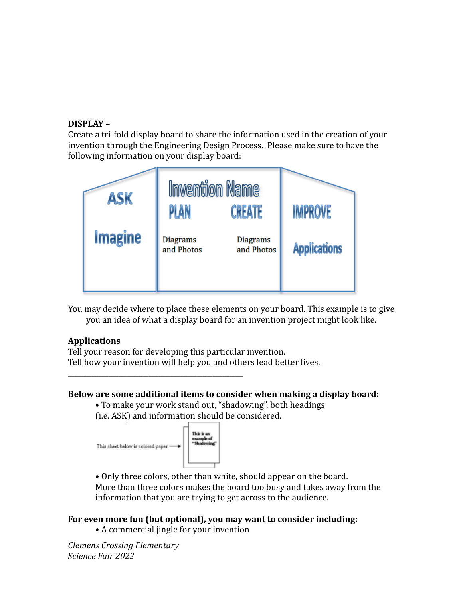#### **DISPLAY –**

Create a tri-fold display board to share the information used in the creation of your invention through the Engineering Design Process. Please make sure to have the following information on your display board:



You may decide where to place these elements on your board. This example is to give you an idea of what a display board for an invention project might look like.

#### **Applications**

Tell your reason for developing this particular invention. Tell how your invention will help you and others lead better lives.

#### **Below are some additional items to consider when making a display board:**

• To make your work stand out, "shadowing", both headings (i.e. ASK) and information should be considered.



\_\_\_\_\_\_\_\_\_\_\_\_\_\_\_\_\_\_\_\_\_\_\_\_\_\_\_\_\_\_\_\_\_\_\_\_\_\_\_\_\_\_\_\_\_\_\_\_\_\_\_\_

• Only three colors, other than white, should appear on the board. More than three colors makes the board too busy and takes away from the information that you are trying to get across to the audience.

#### **For even more fun (but optional), you may want to consider including:**

• A commercial jingle for your invention

*Clemens Crossing Elementary Science Fair 2022*